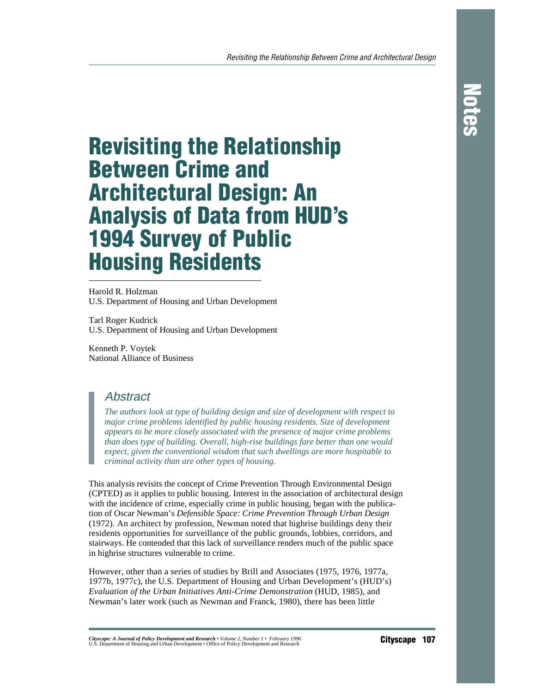# **Revisiting the Relationship Between Crime and Architectural Design: An Analysis of Data from HUD's 1994 Survey of Public Housing Residents**

Harold R. Holzman U.S. Department of Housing and Urban Development

Tarl Roger Kudrick U.S. Department of Housing and Urban Development

Kenneth P. Voytek National Alliance of Business

# **Abstract**

*The authors look at type of building design and size of development with respect to major crime problems identified by public housing residents. Size of development appears to be more closely associated with the presence of major crime problems than does type of building. Overall, high-rise buildings fare better than one would expect, given the conventional wisdom that such dwellings are more hospitable to criminal activity than are other types of housing.*

This analysis revisits the concept of Crime Prevention Through Environmental Design (CPTED) as it applies to public housing. Interest in the association of architectural design with the incidence of crime, especially crime in public housing, began with the publication of Oscar Newman's *Defensible Space: Crime Prevention Through Urban Design* (1972). An architect by profession, Newman noted that highrise buildings deny their residents opportunities for surveillance of the public grounds, lobbies, corridors, and stairways. He contended that this lack of surveillance renders much of the public space in highrise structures vulnerable to crime.

However, other than a series of studies by Brill and Associates (1975, 1976, 1977a, 1977b, 1977c), the U.S. Department of Housing and Urban Development's (HUD's) *Evaluation of the Urban Initiatives Anti-Crime Demonstration* (HUD, 1985), and Newman's later work (such as Newman and Franck, 1980), there has been little

Cityscape: A Journal of Policy Development and Research • Volume 2, Number 1 • February 1996<br>U.S. Department of Housing and Urban Development • Office of Policy Development and Research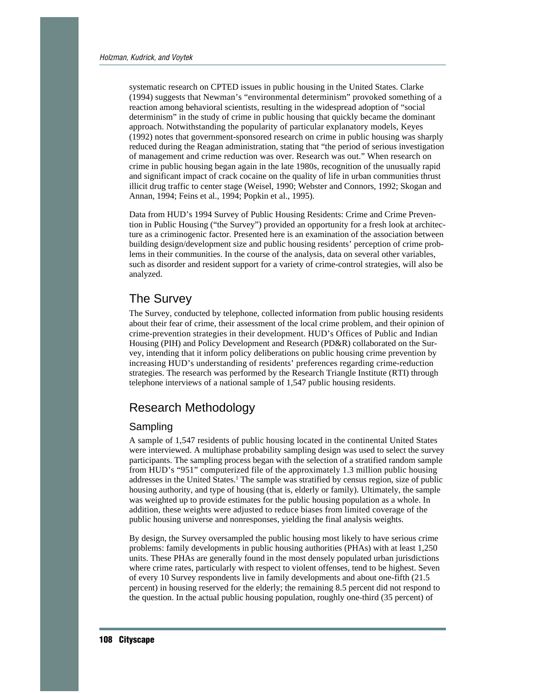systematic research on CPTED issues in public housing in the United States. Clarke (1994) suggests that Newman's "environmental determinism" provoked something of a reaction among behavioral scientists, resulting in the widespread adoption of "social determinism" in the study of crime in public housing that quickly became the dominant approach. Notwithstanding the popularity of particular explanatory models, Keyes (1992) notes that government-sponsored research on crime in public housing was sharply reduced during the Reagan administration, stating that "the period of serious investigation of management and crime reduction was over. Research was out." When research on crime in public housing began again in the late 1980s, recognition of the unusually rapid and significant impact of crack cocaine on the quality of life in urban communities thrust illicit drug traffic to center stage (Weisel, 1990; Webster and Connors, 1992; Skogan and Annan, 1994; Feins et al., 1994; Popkin et al., 1995).

Data from HUD's 1994 Survey of Public Housing Residents: Crime and Crime Prevention in Public Housing ("the Survey") provided an opportunity for a fresh look at architecture as a criminogenic factor. Presented here is an examination of the association between building design/development size and public housing residents' perception of crime problems in their communities. In the course of the analysis, data on several other variables, such as disorder and resident support for a variety of crime-control strategies, will also be analyzed.

# The Survey

The Survey, conducted by telephone, collected information from public housing residents about their fear of crime, their assessment of the local crime problem, and their opinion of crime-prevention strategies in their development. HUD's Offices of Public and Indian Housing (PIH) and Policy Development and Research (PD&R) collaborated on the Survey, intending that it inform policy deliberations on public housing crime prevention by increasing HUD's understanding of residents' preferences regarding crime-reduction strategies. The research was performed by the Research Triangle Institute (RTI) through telephone interviews of a national sample of 1,547 public housing residents.

# Research Methodology

#### Sampling

A sample of 1,547 residents of public housing located in the continental United States were interviewed. A multiphase probability sampling design was used to select the survey participants. The sampling process began with the selection of a stratified random sample from HUD's "951" computerized file of the approximately 1.3 million public housing addresses in the United States.<sup>1</sup> The sample was stratified by census region, size of public housing authority, and type of housing (that is, elderly or family). Ultimately, the sample was weighted up to provide estimates for the public housing population as a whole. In addition, these weights were adjusted to reduce biases from limited coverage of the public housing universe and nonresponses, yielding the final analysis weights.

By design, the Survey oversampled the public housing most likely to have serious crime problems: family developments in public housing authorities (PHAs) with at least 1,250 units. These PHAs are generally found in the most densely populated urban jurisdictions where crime rates, particularly with respect to violent offenses, tend to be highest. Seven of every 10 Survey respondents live in family developments and about one-fifth (21.5 percent) in housing reserved for the elderly; the remaining 8.5 percent did not respond to the question. In the actual public housing population, roughly one-third (35 percent) of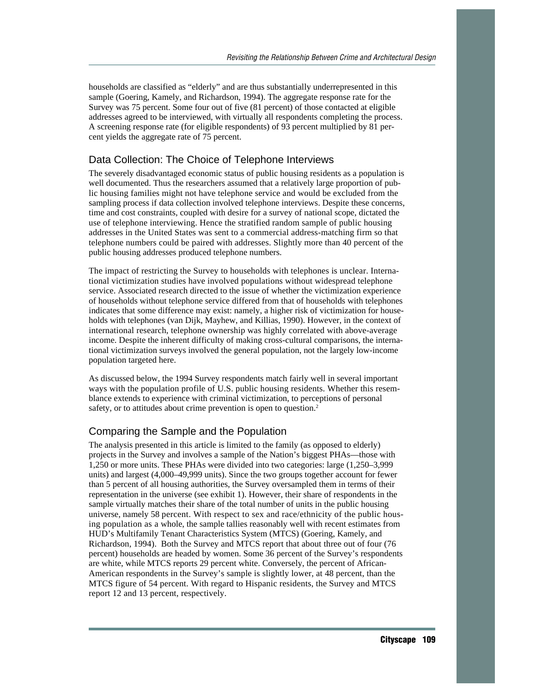households are classified as "elderly" and are thus substantially underrepresented in this sample (Goering, Kamely, and Richardson, 1994). The aggregate response rate for the Survey was 75 percent. Some four out of five (81 percent) of those contacted at eligible addresses agreed to be interviewed, with virtually all respondents completing the process. A screening response rate (for eligible respondents) of 93 percent multiplied by 81 percent yields the aggregate rate of 75 percent.

#### Data Collection: The Choice of Telephone Interviews

The severely disadvantaged economic status of public housing residents as a population is well documented. Thus the researchers assumed that a relatively large proportion of public housing families might not have telephone service and would be excluded from the sampling process if data collection involved telephone interviews. Despite these concerns, time and cost constraints, coupled with desire for a survey of national scope, dictated the use of telephone interviewing. Hence the stratified random sample of public housing addresses in the United States was sent to a commercial address-matching firm so that telephone numbers could be paired with addresses. Slightly more than 40 percent of the public housing addresses produced telephone numbers.

The impact of restricting the Survey to households with telephones is unclear. International victimization studies have involved populations without widespread telephone service. Associated research directed to the issue of whether the victimization experience of households without telephone service differed from that of households with telephones indicates that some difference may exist: namely, a higher risk of victimization for households with telephones (van Dijk, Mayhew, and Killias, 1990). However, in the context of international research, telephone ownership was highly correlated with above-average income. Despite the inherent difficulty of making cross-cultural comparisons, the international victimization surveys involved the general population, not the largely low-income population targeted here.

As discussed below, the 1994 Survey respondents match fairly well in several important ways with the population profile of U.S. public housing residents. Whether this resemblance extends to experience with criminal victimization, to perceptions of personal safety, or to attitudes about crime prevention is open to question.<sup>2</sup>

#### Comparing the Sample and the Population

The analysis presented in this article is limited to the family (as opposed to elderly) projects in the Survey and involves a sample of the Nation's biggest PHAs—those with 1,250 or more units. These PHAs were divided into two categories: large (1,250–3,999 units) and largest (4,000–49,999 units). Since the two groups together account for fewer than 5 percent of all housing authorities, the Survey oversampled them in terms of their representation in the universe (see exhibit 1). However, their share of respondents in the sample virtually matches their share of the total number of units in the public housing universe, namely 58 percent. With respect to sex and race/ethnicity of the public housing population as a whole, the sample tallies reasonably well with recent estimates from HUD's Multifamily Tenant Characteristics System (MTCS) (Goering, Kamely, and Richardson, 1994). Both the Survey and MTCS report that about three out of four (76 percent) households are headed by women. Some 36 percent of the Survey's respondents are white, while MTCS reports 29 percent white. Conversely, the percent of African-American respondents in the Survey's sample is slightly lower, at 48 percent, than the MTCS figure of 54 percent. With regard to Hispanic residents, the Survey and MTCS report 12 and 13 percent, respectively.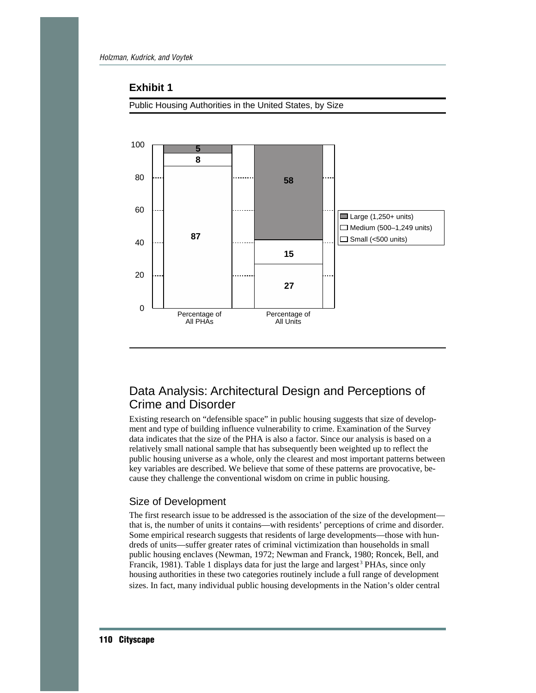#### **Exhibit 1**

Public Housing Authorities in the United States, by Size



# Data Analysis: Architectural Design and Perceptions of Crime and Disorder

Existing research on "defensible space" in public housing suggests that size of development and type of building influence vulnerability to crime. Examination of the Survey data indicates that the size of the PHA is also a factor. Since our analysis is based on a relatively small national sample that has subsequently been weighted up to reflect the public housing universe as a whole, only the clearest and most important patterns between key variables are described. We believe that some of these patterns are provocative, because they challenge the conventional wisdom on crime in public housing.

#### Size of Development

The first research issue to be addressed is the association of the size of the development that is, the number of units it contains—with residents' perceptions of crime and disorder. Some empirical research suggests that residents of large developments—those with hundreds of units—suffer greater rates of criminal victimization than households in small public housing enclaves (Newman, 1972; Newman and Franck, 1980; Roncek, Bell, and Francik, 1981). Table 1 displays data for just the large and largest<sup>3</sup> PHAs, since only housing authorities in these two categories routinely include a full range of development sizes. In fact, many individual public housing developments in the Nation's older central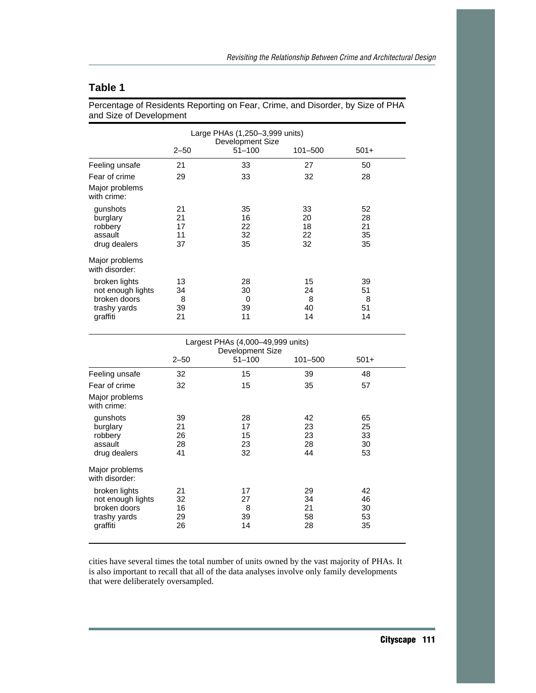# **Table 1**

Percentage of Residents Reporting on Fear, Crime, and Disorder, by Size of PHA and Size of Development

|                                                                                |                            | Large PHAs (1,250-3,999 units)<br>Development Size |                            |                            |
|--------------------------------------------------------------------------------|----------------------------|----------------------------------------------------|----------------------------|----------------------------|
|                                                                                | $2 - 50$                   | $51 - 100$                                         | 101-500                    | $501+$                     |
| Feeling unsafe                                                                 | 21                         | 33                                                 | 27                         | 50                         |
| Fear of crime                                                                  | 29                         | 33                                                 | 32                         | 28                         |
| Major problems<br>with crime:                                                  |                            |                                                    |                            |                            |
| gunshots<br>burglary<br>robbery<br>assault<br>drug dealers                     | 21<br>21<br>17<br>11<br>37 | 35<br>16<br>22<br>32<br>35                         | 33<br>20<br>18<br>22<br>32 | 52<br>28<br>21<br>35<br>35 |
| Major problems<br>with disorder:                                               |                            |                                                    |                            |                            |
| broken lights<br>not enough lights<br>broken doors<br>trashy yards<br>graffiti | 13<br>34<br>8<br>39<br>21  | 28<br>30<br>0<br>39<br>11                          | 15<br>24<br>8<br>40<br>14  | 39<br>51<br>8<br>51<br>14  |

|                                                                                | Largest PHAs (4,000-49,999 units)<br>Development Size |                            |                            |                            |  |
|--------------------------------------------------------------------------------|-------------------------------------------------------|----------------------------|----------------------------|----------------------------|--|
|                                                                                | $2 - 50$                                              | $51 - 100$                 | 101-500                    | $501+$                     |  |
| Feeling unsafe                                                                 | 32                                                    | 15                         | 39                         | 48                         |  |
| Fear of crime                                                                  | 32                                                    | 15                         | 35                         | 57                         |  |
| Major problems<br>with crime:                                                  |                                                       |                            |                            |                            |  |
| gunshots<br>burglary<br>robbery<br>assault<br>drug dealers                     | 39<br>21<br>26<br>28<br>41                            | 28<br>17<br>15<br>23<br>32 | 42<br>23<br>23<br>28<br>44 | 65<br>25<br>33<br>30<br>53 |  |
| Major problems<br>with disorder:                                               |                                                       |                            |                            |                            |  |
| broken lights<br>not enough lights<br>broken doors<br>trashy yards<br>graffiti | 21<br>32<br>16<br>29<br>26                            | 17<br>27<br>8<br>39<br>14  | 29<br>34<br>21<br>58<br>28 | 42<br>46<br>30<br>53<br>35 |  |

cities have several times the total number of units owned by the vast majority of PHAs. It is also important to recall that all of the data analyses involve only family developments that were deliberately oversampled.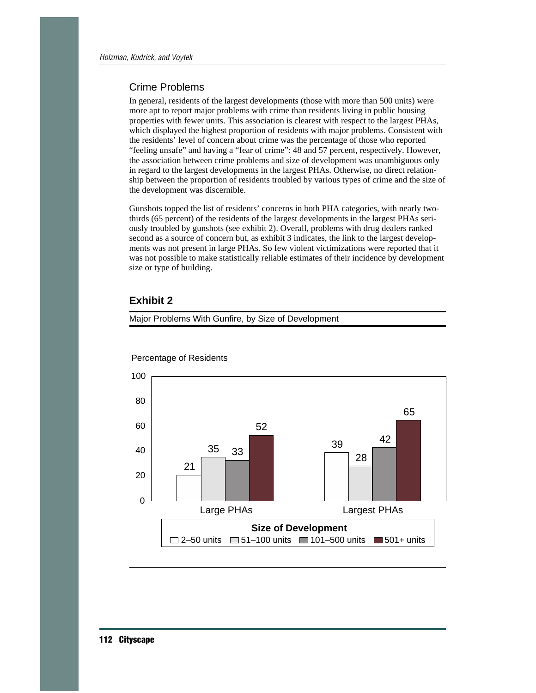#### Crime Problems

In general, residents of the largest developments (those with more than 500 units) were more apt to report major problems with crime than residents living in public housing properties with fewer units. This association is clearest with respect to the largest PHAs, which displayed the highest proportion of residents with major problems. Consistent with the residents' level of concern about crime was the percentage of those who reported "feeling unsafe" and having a "fear of crime": 48 and 57 percent, respectively. However, the association between crime problems and size of development was unambiguous only in regard to the largest developments in the largest PHAs. Otherwise, no direct relationship between the proportion of residents troubled by various types of crime and the size of the development was discernible.

Gunshots topped the list of residents' concerns in both PHA categories, with nearly twothirds (65 percent) of the residents of the largest developments in the largest PHAs seriously troubled by gunshots (see exhibit 2). Overall, problems with drug dealers ranked second as a source of concern but, as exhibit 3 indicates, the link to the largest developments was not present in large PHAs. So few violent victimizations were reported that it was not possible to make statistically reliable estimates of their incidence by development size or type of building.

#### **Exhibit 2**





#### Percentage of Residents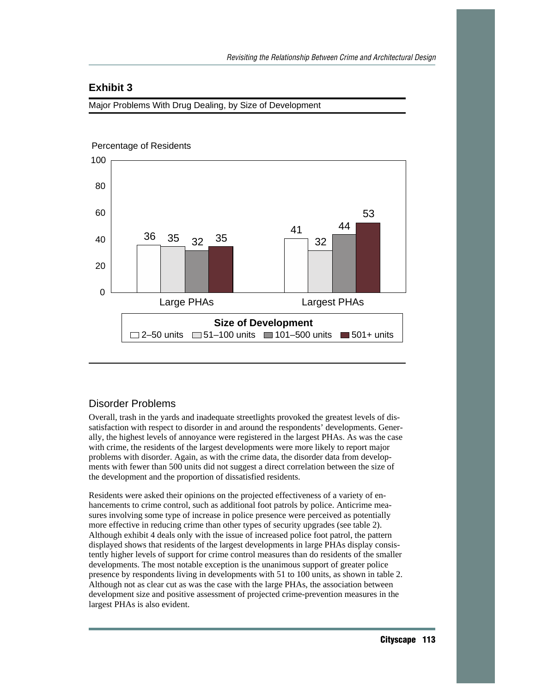# **Exhibit 3**

Major Problems With Drug Dealing, by Size of Development



#### Disorder Problems

Overall, trash in the yards and inadequate streetlights provoked the greatest levels of dissatisfaction with respect to disorder in and around the respondents' developments. Generally, the highest levels of annoyance were registered in the largest PHAs. As was the case with crime, the residents of the largest developments were more likely to report major problems with disorder. Again, as with the crime data, the disorder data from developments with fewer than 500 units did not suggest a direct correlation between the size of the development and the proportion of dissatisfied residents.

Residents were asked their opinions on the projected effectiveness of a variety of enhancements to crime control, such as additional foot patrols by police. Anticrime measures involving some type of increase in police presence were perceived as potentially more effective in reducing crime than other types of security upgrades (see table 2). Although exhibit 4 deals only with the issue of increased police foot patrol, the pattern displayed shows that residents of the largest developments in large PHAs display consistently higher levels of support for crime control measures than do residents of the smaller developments. The most notable exception is the unanimous support of greater police presence by respondents living in developments with 51 to 100 units, as shown in table 2. Although not as clear cut as was the case with the large PHAs, the association between development size and positive assessment of projected crime-prevention measures in the largest PHAs is also evident.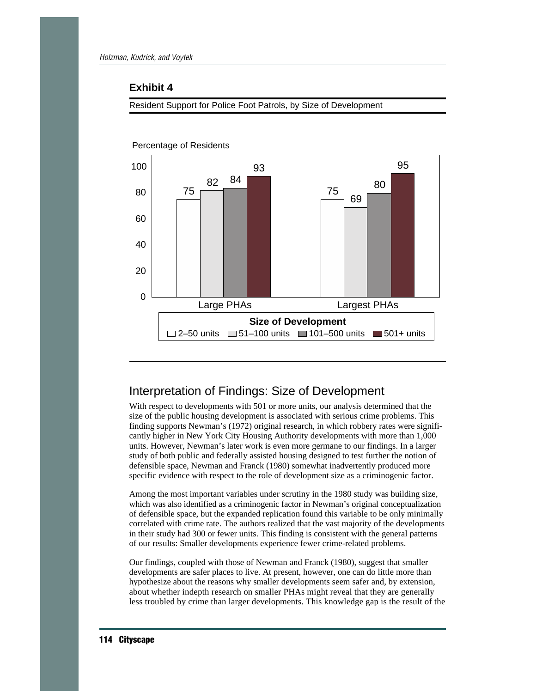#### **Exhibit 4**

Resident Support for Police Foot Patrols, by Size of Development



#### Percentage of Residents

# Interpretation of Findings: Size of Development

With respect to developments with 501 or more units, our analysis determined that the size of the public housing development is associated with serious crime problems. This finding supports Newman's (1972) original research, in which robbery rates were significantly higher in New York City Housing Authority developments with more than 1,000 units. However, Newman's later work is even more germane to our findings. In a larger study of both public and federally assisted housing designed to test further the notion of defensible space, Newman and Franck (1980) somewhat inadvertently produced more specific evidence with respect to the role of development size as a criminogenic factor.

Among the most important variables under scrutiny in the 1980 study was building size, which was also identified as a criminogenic factor in Newman's original conceptualization of defensible space, but the expanded replication found this variable to be only minimally correlated with crime rate. The authors realized that the vast majority of the developments in their study had 300 or fewer units. This finding is consistent with the general patterns of our results: Smaller developments experience fewer crime-related problems.

Our findings, coupled with those of Newman and Franck (1980), suggest that smaller developments are safer places to live. At present, however, one can do little more than hypothesize about the reasons why smaller developments seem safer and, by extension, about whether indepth research on smaller PHAs might reveal that they are generally less troubled by crime than larger developments. This knowledge gap is the result of the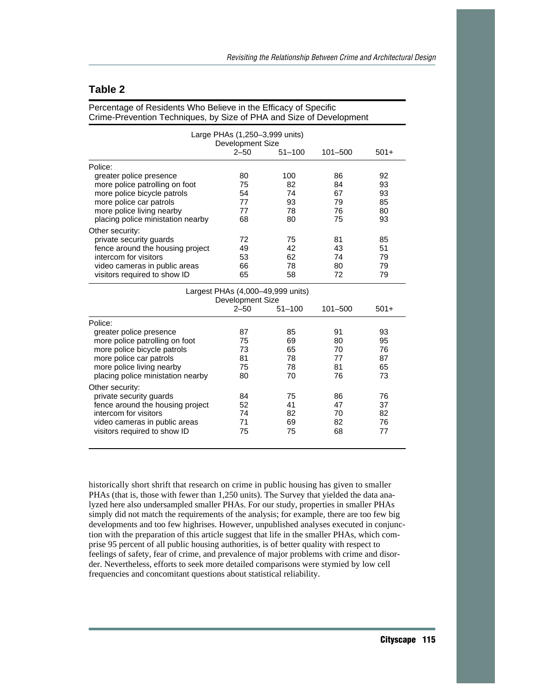# **Table 2**

| Crime-Prevention Techniques, by Size of PHA and Size of Development |                  |                                   |             |        |  |
|---------------------------------------------------------------------|------------------|-----------------------------------|-------------|--------|--|
| Large PHAs (1,250-3,999 units)<br><b>Development Size</b>           |                  |                                   |             |        |  |
|                                                                     | $2 - 50$         | $51 - 100$                        | $101 - 500$ | $501+$ |  |
| Police:                                                             |                  |                                   |             |        |  |
| greater police presence                                             | 80               | 100                               | 86          | 92     |  |
| more police patrolling on foot                                      | 75               | 82                                | 84          | 93     |  |
| more police bicycle patrols                                         | 54               | 74                                | 67          | 93     |  |
| more police car patrols                                             | 77               | 93                                | 79          | 85     |  |
| more police living nearby                                           | 77               | 78                                | 76          | 80     |  |
| placing police ministation nearby                                   | 68               | 80                                | 75          | 93     |  |
| Other security:                                                     |                  |                                   |             |        |  |
| private security guards                                             | 72               | 75                                | 81          | 85     |  |
| fence around the housing project                                    | 49               | 42                                | 43          | 51     |  |
| intercom for visitors                                               | 53               | 62                                | 74          | 79     |  |
| video cameras in public areas                                       | 66               | 78                                | 80          | 79     |  |
| visitors required to show ID                                        | 65               | 58                                | 72          | 79     |  |
|                                                                     |                  | Largest PHAs (4,000-49,999 units) |             |        |  |
|                                                                     | Development Size |                                   |             |        |  |
|                                                                     | $2 - 50$         | $51 - 100$                        | 101-500     | $501+$ |  |
| Police:                                                             |                  |                                   |             |        |  |
| greater police presence                                             | 87               | 85                                | 91          | 93     |  |
| more police patrolling on foot                                      | 75               | 69                                | 80          | 95     |  |
| more police bicycle patrols                                         | 73               | 65                                | 70          | 76     |  |
| more police car patrols                                             | 81               | 78                                | 77          | 87     |  |
| more police living nearby                                           | 75               | 78                                | 81          | 65     |  |
| placing police ministation nearby                                   | 80               | 70                                | 76          | 73     |  |
| Other security:                                                     |                  |                                   |             |        |  |
| private security guards                                             | 84               | 75                                | 86          | 76     |  |
| fence around the housing project                                    | 52               | 41                                | 47          | 37     |  |
| intercom for visitors                                               | 74               | 82                                | 70          | 82     |  |
| video cameras in public areas                                       | 71               | 69                                | 82          | 76     |  |
| visitors required to show ID                                        | 75               | 75                                | 68          | 77     |  |
|                                                                     |                  |                                   |             |        |  |

Percentage of Residents Who Believe in the Efficacy of Specific

historically short shrift that research on crime in public housing has given to smaller PHAs (that is, those with fewer than 1,250 units). The Survey that yielded the data analyzed here also undersampled smaller PHAs. For our study, properties in smaller PHAs simply did not match the requirements of the analysis; for example, there are too few big developments and too few highrises. However, unpublished analyses executed in conjunction with the preparation of this article suggest that life in the smaller PHAs, which comprise 95 percent of all public housing authorities, is of better quality with respect to feelings of safety, fear of crime, and prevalence of major problems with crime and disorder. Nevertheless, efforts to seek more detailed comparisons were stymied by low cell frequencies and concomitant questions about statistical reliability.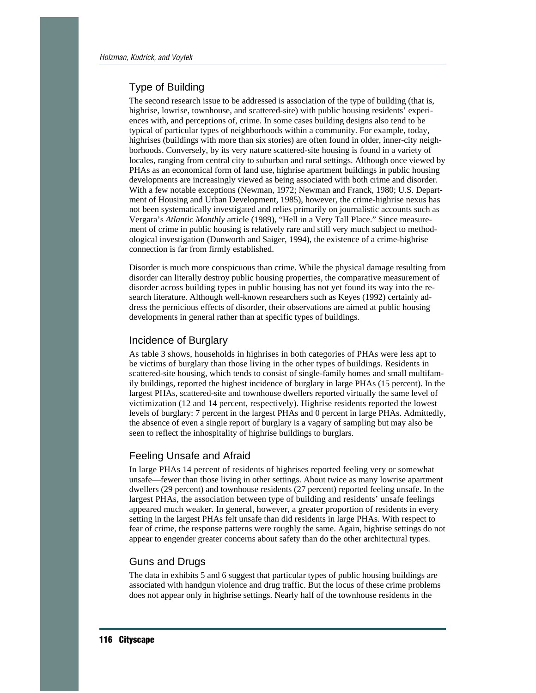#### Type of Building

The second research issue to be addressed is association of the type of building (that is, highrise, lowrise, townhouse, and scattered-site) with public housing residents' experiences with, and perceptions of, crime. In some cases building designs also tend to be typical of particular types of neighborhoods within a community. For example, today, highrises (buildings with more than six stories) are often found in older, inner-city neighborhoods. Conversely, by its very nature scattered-site housing is found in a variety of locales, ranging from central city to suburban and rural settings. Although once viewed by PHAs as an economical form of land use, highrise apartment buildings in public housing developments are increasingly viewed as being associated with both crime and disorder. With a few notable exceptions (Newman, 1972; Newman and Franck, 1980; U.S. Department of Housing and Urban Development, 1985), however, the crime-highrise nexus has not been systematically investigated and relies primarily on journalistic accounts such as Vergara's *Atlantic Monthly* article (1989), "Hell in a Very Tall Place." Since measurement of crime in public housing is relatively rare and still very much subject to methodological investigation (Dunworth and Saiger, 1994), the existence of a crime-highrise connection is far from firmly established.

Disorder is much more conspicuous than crime. While the physical damage resulting from disorder can literally destroy public housing properties, the comparative measurement of disorder across building types in public housing has not yet found its way into the research literature. Although well-known researchers such as Keyes (1992) certainly address the pernicious effects of disorder, their observations are aimed at public housing developments in general rather than at specific types of buildings.

#### Incidence of Burglary

As table 3 shows, households in highrises in both categories of PHAs were less apt to be victims of burglary than those living in the other types of buildings. Residents in scattered-site housing, which tends to consist of single-family homes and small multifamily buildings, reported the highest incidence of burglary in large PHAs (15 percent). In the largest PHAs, scattered-site and townhouse dwellers reported virtually the same level of victimization (12 and 14 percent, respectively). Highrise residents reported the lowest levels of burglary: 7 percent in the largest PHAs and 0 percent in large PHAs. Admittedly, the absence of even a single report of burglary is a vagary of sampling but may also be seen to reflect the inhospitality of highrise buildings to burglars.

#### Feeling Unsafe and Afraid

In large PHAs 14 percent of residents of highrises reported feeling very or somewhat unsafe—fewer than those living in other settings. About twice as many lowrise apartment dwellers (29 percent) and townhouse residents (27 percent) reported feeling unsafe. In the largest PHAs, the association between type of building and residents' unsafe feelings appeared much weaker. In general, however, a greater proportion of residents in every setting in the largest PHAs felt unsafe than did residents in large PHAs. With respect to fear of crime, the response patterns were roughly the same. Again, highrise settings do not appear to engender greater concerns about safety than do the other architectural types.

#### Guns and Drugs

The data in exhibits 5 and 6 suggest that particular types of public housing buildings are associated with handgun violence and drug traffic. But the locus of these crime problems does not appear only in highrise settings. Nearly half of the townhouse residents in the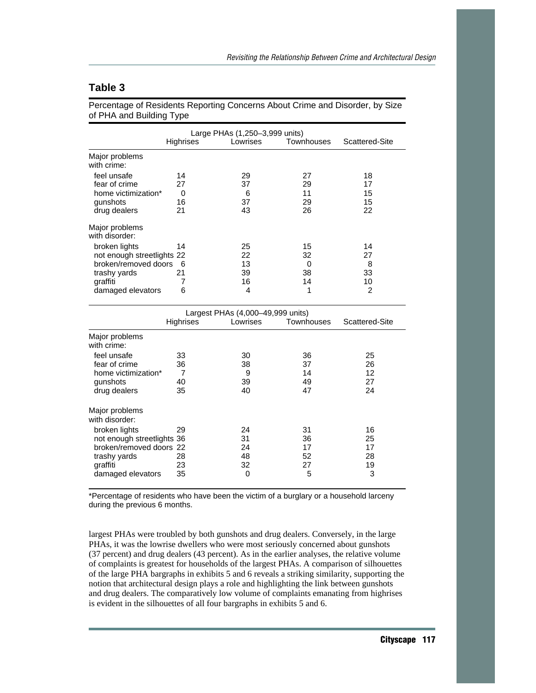# **Table 3**

Percentage of Residents Reporting Concerns About Crime and Disorder, by Size of PHA and Building Type

|                                  | Highrises | Large PHAs (1,250-3,999 units)<br>Lowrises | Townhouses | Scattered-Site |
|----------------------------------|-----------|--------------------------------------------|------------|----------------|
| Major problems<br>with crime:    |           |                                            |            |                |
| feel unsafe                      | 14        | 29                                         | 27         | 18             |
| fear of crime                    | 27        | 37                                         | 29         | 17             |
| home victimization*              | 0         | 6                                          | 11         | 15             |
| gunshots                         | 16        | 37                                         | 29         | 15             |
| drug dealers                     | 21        | 43                                         | 26         | 22             |
| Major problems<br>with disorder: |           |                                            |            |                |
| broken lights                    | 14        | 25                                         | 15         | 14             |
| not enough streetlights 22       |           | 22                                         | 32         | 27             |
| broken/removed doors 6           |           | 13                                         | 0          | 8              |
| trashy yards                     | 21        | 39                                         | 38         | 33             |
| graffiti                         |           | 16                                         | 14         | 10             |
| damaged elevators                | 6         | 4                                          | 1          | $\overline{2}$ |

|                                                                                                                                                             | Largest PHAs (4,000-49,999 units) |                                 |                                 |                                 |
|-------------------------------------------------------------------------------------------------------------------------------------------------------------|-----------------------------------|---------------------------------|---------------------------------|---------------------------------|
|                                                                                                                                                             | <b>Highrises</b>                  | Lowrises                        | <b>Townhouses</b>               | Scattered-Site                  |
| Major problems<br>with crime:                                                                                                                               |                                   |                                 |                                 |                                 |
| feel unsafe<br>fear of crime<br>home victimization*<br>gunshots<br>drug dealers                                                                             | 33<br>36<br>7<br>40<br>35         | 30<br>38<br>9<br>39<br>40       | 36<br>37<br>14<br>49<br>47      | 25<br>26<br>12<br>27<br>24      |
| Major problems<br>with disorder:<br>broken lights<br>not enough streetlights 36<br>broken/removed doors 22<br>trashy yards<br>graffiti<br>damaged elevators | 29<br>28<br>23<br>35              | 24<br>31<br>24<br>48<br>32<br>0 | 31<br>36<br>17<br>52<br>27<br>5 | 16<br>25<br>17<br>28<br>19<br>3 |

\*Percentage of residents who have been the victim of a burglary or a household larceny during the previous 6 months.

largest PHAs were troubled by both gunshots and drug dealers. Conversely, in the large PHAs, it was the lowrise dwellers who were most seriously concerned about gunshots (37 percent) and drug dealers (43 percent). As in the earlier analyses, the relative volume of complaints is greatest for households of the largest PHAs. A comparison of silhouettes of the large PHA bargraphs in exhibits 5 and 6 reveals a striking similarity, supporting the notion that architectural design plays a role and highlighting the link between gunshots and drug dealers. The comparatively low volume of complaints emanating from highrises is evident in the silhouettes of all four bargraphs in exhibits 5 and 6.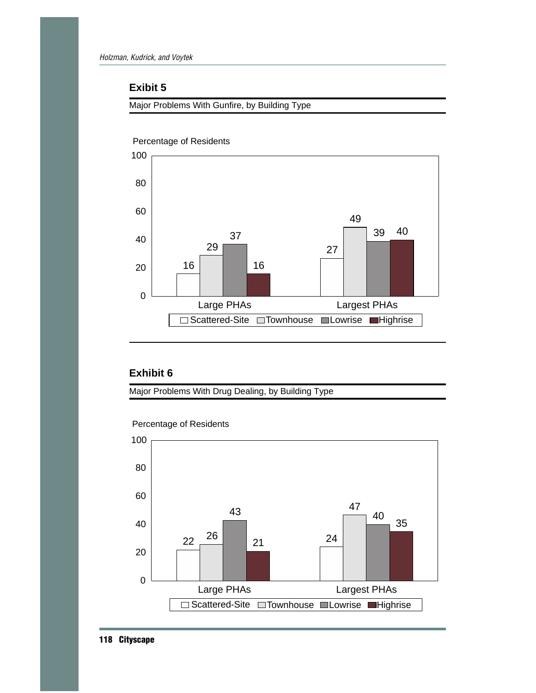# **Exibit 5**

Major Problems With Gunfire, by Building Type



Percentage of Residents

# **Exhibit 6**

Major Problems With Drug Dealing, by Building Type



Percentage of Residents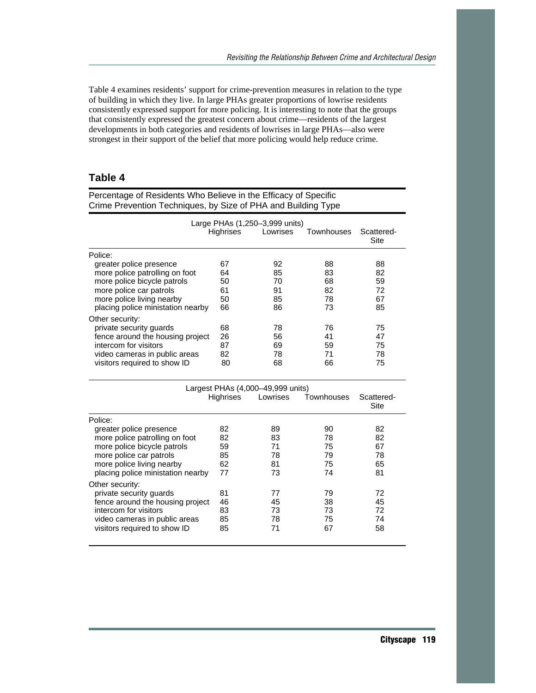Table 4 examines residents' support for crime-prevention measures in relation to the type of building in which they live. In large PHAs greater proportions of lowrise residents consistently expressed support for more policing. It is interesting to note that the groups that consistently expressed the greatest concern about crime—residents of the largest developments in both categories and residents of lowrises in large PHAs—also were strongest in their support of the belief that more policing would help reduce crime.

# **Table 4**

| Crime Prevention Techniques, by Size of PHA and Building Type                                                                                                                                                                                                           |                                              |                                              |                                              |                                              |  |
|-------------------------------------------------------------------------------------------------------------------------------------------------------------------------------------------------------------------------------------------------------------------------|----------------------------------------------|----------------------------------------------|----------------------------------------------|----------------------------------------------|--|
|                                                                                                                                                                                                                                                                         | <b>Highrises</b>                             | Large PHAs (1,250-3,999 units)<br>Lowrises   | Townhouses                                   | Scattered-<br><b>Site</b>                    |  |
| Police:                                                                                                                                                                                                                                                                 |                                              |                                              |                                              |                                              |  |
| greater police presence<br>more police patrolling on foot<br>more police bicycle patrols<br>more police car patrols<br>more police living nearby<br>placing police ministation nearby                                                                                   | 67<br>64<br>50<br>61<br>50<br>66             | 92<br>85<br>70<br>91<br>85<br>86             | 88<br>83<br>68<br>82<br>78<br>73             | 88<br>82<br>59<br>72<br>67<br>85             |  |
| Other security:                                                                                                                                                                                                                                                         |                                              |                                              |                                              |                                              |  |
| private security guards<br>fence around the housing project<br>intercom for visitors<br>video cameras in public areas<br>visitors required to show ID                                                                                                                   | 68<br>26<br>87<br>82<br>80                   | 78<br>56<br>69<br>78<br>68                   | 76<br>41<br>59<br>71<br>66                   | 75<br>47<br>75<br>78<br>75                   |  |
|                                                                                                                                                                                                                                                                         |                                              | Largest PHAs (4,000-49,999 units)            |                                              |                                              |  |
|                                                                                                                                                                                                                                                                         | Highrises                                    | Lowrises                                     | Townhouses                                   | Scattered-<br>Site                           |  |
| Police:                                                                                                                                                                                                                                                                 |                                              |                                              |                                              |                                              |  |
| greater police presence<br>more police patrolling on foot<br>more police bicycle patrols<br>more police car patrols<br>more police living nearby<br>placing police ministation nearby<br>Other security:<br>private security guards<br>fence around the housing project | 82<br>82<br>59<br>85<br>62<br>77<br>81<br>46 | 89<br>83<br>71<br>78<br>81<br>73<br>77<br>45 | 90<br>78<br>75<br>79<br>75<br>74<br>79<br>38 | 82<br>82<br>67<br>78<br>65<br>81<br>72<br>45 |  |
| intercom for visitors<br>video cameras in public areas<br>visitors required to show ID                                                                                                                                                                                  | 83<br>85<br>85                               | 73<br>78<br>71                               | 73<br>75<br>67                               | 72<br>74<br>58                               |  |

Percentage of Residents Who Believe in the Efficacy of Specific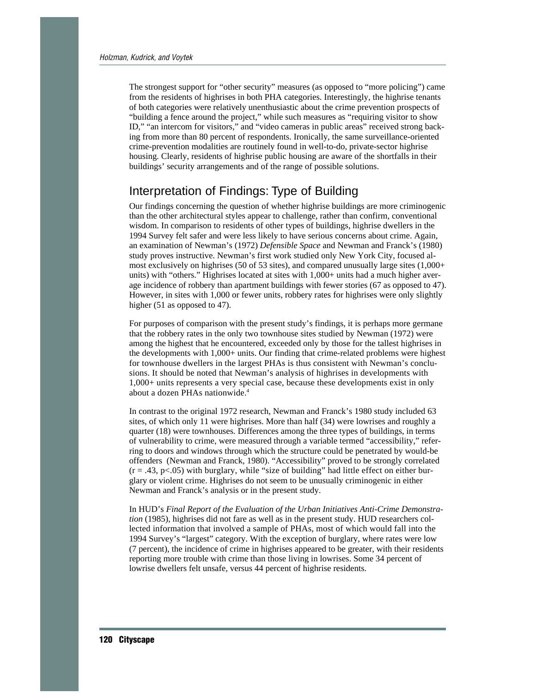The strongest support for "other security" measures (as opposed to "more policing") came from the residents of highrises in both PHA categories. Interestingly, the highrise tenants of both categories were relatively unenthusiastic about the crime prevention prospects of "building a fence around the project," while such measures as "requiring visitor to show ID," "an intercom for visitors," and "video cameras in public areas" received strong backing from more than 80 percent of respondents. Ironically, the same surveillance-oriented crime-prevention modalities are routinely found in well-to-do, private-sector highrise housing. Clearly, residents of highrise public housing are aware of the shortfalls in their buildings' security arrangements and of the range of possible solutions.

# Interpretation of Findings: Type of Building

Our findings concerning the question of whether highrise buildings are more criminogenic than the other architectural styles appear to challenge, rather than confirm, conventional wisdom. In comparison to residents of other types of buildings, highrise dwellers in the 1994 Survey felt safer and were less likely to have serious concerns about crime. Again, an examination of Newman's (1972) *Defensible Space* and Newman and Franck's (1980) study proves instructive. Newman's first work studied only New York City, focused almost exclusively on highrises (50 of 53 sites), and compared unusually large sites (1,000+ units) with "others." Highrises located at sites with 1,000+ units had a much higher average incidence of robbery than apartment buildings with fewer stories (67 as opposed to 47). However, in sites with 1,000 or fewer units, robbery rates for highrises were only slightly higher (51 as opposed to 47).

For purposes of comparison with the present study's findings, it is perhaps more germane that the robbery rates in the only two townhouse sites studied by Newman (1972) were among the highest that he encountered, exceeded only by those for the tallest highrises in the developments with 1,000+ units. Our finding that crime-related problems were highest for townhouse dwellers in the largest PHAs is thus consistent with Newman's conclusions. It should be noted that Newman's analysis of highrises in developments with 1,000+ units represents a very special case, because these developments exist in only about a dozen PHAs nationwide.4

In contrast to the original 1972 research, Newman and Franck's 1980 study included 63 sites, of which only 11 were highrises. More than half (34) were lowrises and roughly a quarter (18) were townhouses. Differences among the three types of buildings, in terms of vulnerability to crime, were measured through a variable termed "accessibility," referring to doors and windows through which the structure could be penetrated by would-be offenders (Newman and Franck, 1980). "Accessibility" proved to be strongly correlated  $(r = .43, p < .05)$  with burglary, while "size of building" had little effect on either burglary or violent crime. Highrises do not seem to be unusually criminogenic in either Newman and Franck's analysis or in the present study.

In HUD's *Final Report of the Evaluation of the Urban Initiatives Anti-Crime Demonstration* (1985), highrises did not fare as well as in the present study. HUD researchers collected information that involved a sample of PHAs, most of which would fall into the 1994 Survey's "largest" category. With the exception of burglary, where rates were low (7 percent), the incidence of crime in highrises appeared to be greater, with their residents reporting more trouble with crime than those living in lowrises. Some 34 percent of lowrise dwellers felt unsafe, versus 44 percent of highrise residents.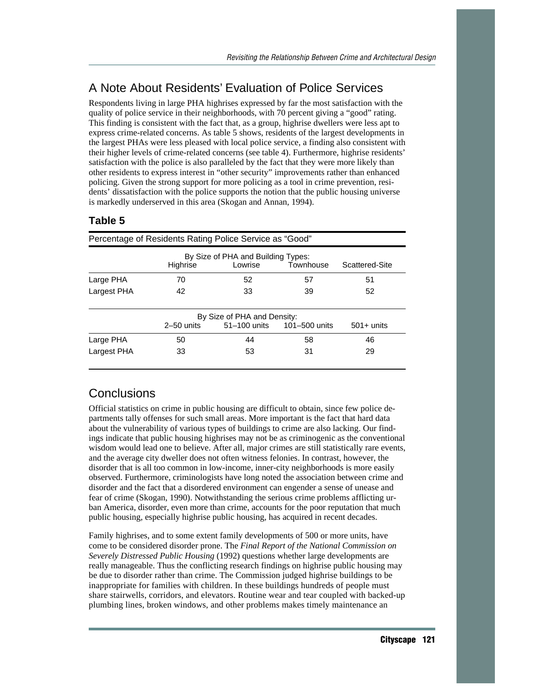# A Note About Residents' Evaluation of Police Services

Respondents living in large PHA highrises expressed by far the most satisfaction with the quality of police service in their neighborhoods, with 70 percent giving a "good" rating. This finding is consistent with the fact that, as a group, highrise dwellers were less apt to express crime-related concerns. As table 5 shows, residents of the largest developments in the largest PHAs were less pleased with local police service, a finding also consistent with their higher levels of crime-related concerns (see table 4). Furthermore, highrise residents' satisfaction with the police is also paralleled by the fact that they were more likely than other residents to express interest in "other security" improvements rather than enhanced policing. Given the strong support for more policing as a tool in crime prevention, residents' dissatisfaction with the police supports the notion that the public housing universe is markedly underserved in this area (Skogan and Annan, 1994).

# **Table 5**

|                                                                                          |                                                             | Percentage of Residents Rating Police Service as "Good" |    |    |  |  |
|------------------------------------------------------------------------------------------|-------------------------------------------------------------|---------------------------------------------------------|----|----|--|--|
| By Size of PHA and Building Types:<br>Townhouse<br>Highrise<br>Lowrise<br>Scattered-Site |                                                             |                                                         |    |    |  |  |
| Large PHA                                                                                | 70                                                          | 52                                                      | 57 | 51 |  |  |
| Largest PHA                                                                              | 42                                                          | 33                                                      | 39 | 52 |  |  |
| By Size of PHA and Density:                                                              |                                                             |                                                         |    |    |  |  |
|                                                                                          | 51-100 units 101-500 units<br>$2-50$ units<br>$501 +$ units |                                                         |    |    |  |  |
| Large PHA                                                                                | 50                                                          | 44                                                      | 58 | 46 |  |  |
| Largest PHA                                                                              | 33                                                          | 53                                                      | 31 | 29 |  |  |
|                                                                                          |                                                             |                                                         |    |    |  |  |

# **Conclusions**

Official statistics on crime in public housing are difficult to obtain, since few police departments tally offenses for such small areas. More important is the fact that hard data about the vulnerability of various types of buildings to crime are also lacking. Our findings indicate that public housing highrises may not be as criminogenic as the conventional wisdom would lead one to believe. After all, major crimes are still statistically rare events, and the average city dweller does not often witness felonies. In contrast, however, the disorder that is all too common in low-income, inner-city neighborhoods is more easily observed. Furthermore, criminologists have long noted the association between crime and disorder and the fact that a disordered environment can engender a sense of unease and fear of crime (Skogan, 1990). Notwithstanding the serious crime problems afflicting urban America, disorder, even more than crime, accounts for the poor reputation that much public housing, especially highrise public housing, has acquired in recent decades.

Family highrises, and to some extent family developments of 500 or more units, have come to be considered disorder prone. The *Final Report of the National Commission on Severely Distressed Public Housing* (1992) questions whether large developments are really manageable. Thus the conflicting research findings on highrise public housing may be due to disorder rather than crime. The Commission judged highrise buildings to be inappropriate for families with children. In these buildings hundreds of people must share stairwells, corridors, and elevators. Routine wear and tear coupled with backed-up plumbing lines, broken windows, and other problems makes timely maintenance an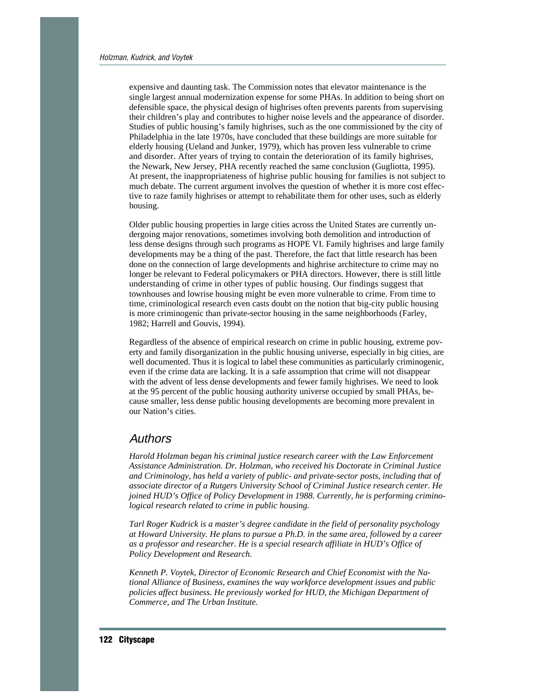expensive and daunting task. The Commission notes that elevator maintenance is the single largest annual modernization expense for some PHAs. In addition to being short on defensible space, the physical design of highrises often prevents parents from supervising their children's play and contributes to higher noise levels and the appearance of disorder. Studies of public housing's family highrises, such as the one commissioned by the city of Philadelphia in the late 1970s, have concluded that these buildings are more suitable for elderly housing (Ueland and Junker, 1979), which has proven less vulnerable to crime and disorder. After years of trying to contain the deterioration of its family highrises, the Newark, New Jersey, PHA recently reached the same conclusion (Gugliotta, 1995). At present, the inappropriateness of highrise public housing for families is not subject to much debate. The current argument involves the question of whether it is more cost effective to raze family highrises or attempt to rehabilitate them for other uses, such as elderly housing.

Older public housing properties in large cities across the United States are currently undergoing major renovations, sometimes involving both demolition and introduction of less dense designs through such programs as HOPE VI. Family highrises and large family developments may be a thing of the past. Therefore, the fact that little research has been done on the connection of large developments and highrise architecture to crime may no longer be relevant to Federal policymakers or PHA directors. However, there is still little understanding of crime in other types of public housing. Our findings suggest that townhouses and lowrise housing might be even more vulnerable to crime. From time to time, criminological research even casts doubt on the notion that big-city public housing is more criminogenic than private-sector housing in the same neighborhoods (Farley, 1982; Harrell and Gouvis, 1994).

Regardless of the absence of empirical research on crime in public housing, extreme poverty and family disorganization in the public housing universe, especially in big cities, are well documented. Thus it is logical to label these communities as particularly criminogenic, even if the crime data are lacking. It is a safe assumption that crime will not disappear with the advent of less dense developments and fewer family highrises. We need to look at the 95 percent of the public housing authority universe occupied by small PHAs, because smaller, less dense public housing developments are becoming more prevalent in our Nation's cities.

# Authors

*Harold Holzman began his criminal justice research career with the Law Enforcement Assistance Administration. Dr. Holzman, who received his Doctorate in Criminal Justice and Criminology, has held a variety of public- and private-sector posts, including that of associate director of a Rutgers University School of Criminal Justice research center. He joined HUD's Office of Policy Development in 1988. Currently, he is performing criminological research related to crime in public housing.*

*Tarl Roger Kudrick is a master's degree candidate in the field of personality psychology at Howard University. He plans to pursue a Ph.D. in the same area, followed by a career as a professor and researcher. He is a special research affiliate in HUD's Office of Policy Development and Research.*

*Kenneth P. Voytek, Director of Economic Research and Chief Economist with the National Alliance of Business, examines the way workforce development issues and public policies affect business. He previously worked for HUD, the Michigan Department of Commerce, and The Urban Institute.*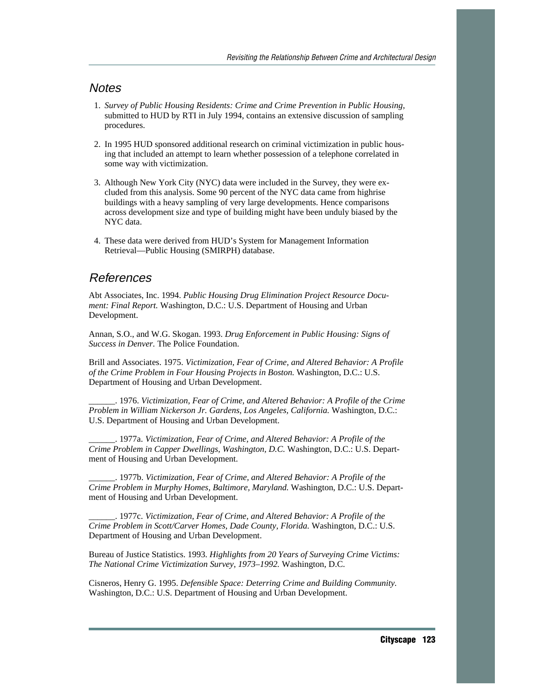# **Notes**

- 1. *Survey of Public Housing Residents: Crime and Crime Prevention in Public Housing,* submitted to HUD by RTI in July 1994, contains an extensive discussion of sampling procedures.
- 2. In 1995 HUD sponsored additional research on criminal victimization in public housing that included an attempt to learn whether possession of a telephone correlated in some way with victimization.
- 3. Although New York City (NYC) data were included in the Survey, they were excluded from this analysis. Some 90 percent of the NYC data came from highrise buildings with a heavy sampling of very large developments. Hence comparisons across development size and type of building might have been unduly biased by the NYC data.
- 4. These data were derived from HUD's System for Management Information Retrieval—Public Housing (SMIRPH) database.

# References

Abt Associates, Inc. 1994. *Public Housing Drug Elimination Project Resource Document: Final Report.* Washington, D.C.: U.S. Department of Housing and Urban Development.

Annan, S.O., and W.G. Skogan. 1993. *Drug Enforcement in Public Housing: Signs of Success in Denver.* The Police Foundation.

Brill and Associates. 1975. *Victimization, Fear of Crime, and Altered Behavior: A Profile of the Crime Problem in Four Housing Projects in Boston.* Washington, D.C.: U.S. Department of Housing and Urban Development.

\_\_\_\_\_\_. 1976. *Victimization, Fear of Crime, and Altered Behavior: A Profile of the Crime Problem in William Nickerson Jr. Gardens, Los Angeles, California.* Washington, D.C.: U.S. Department of Housing and Urban Development.

\_\_\_\_\_\_. 1977a. *Victimization, Fear of Crime, and Altered Behavior: A Profile of the Crime Problem in Capper Dwellings, Washington, D.C.* Washington, D.C.: U.S. Department of Housing and Urban Development.

\_\_\_\_\_\_. 1977b. *Victimization, Fear of Crime, and Altered Behavior: A Profile of the Crime Problem in Murphy Homes, Baltimore, Maryland.* Washington, D.C.: U.S. Department of Housing and Urban Development.

\_\_\_\_\_\_. 1977c. *Victimization, Fear of Crime, and Altered Behavior: A Profile of the Crime Problem in Scott/Carver Homes, Dade County, Florida.* Washington, D.C.: U.S. Department of Housing and Urban Development.

Bureau of Justice Statistics. 1993. *Highlights from 20 Years of Surveying Crime Victims: The National Crime Victimization Survey, 1973–1992.* Washington, D.C.

Cisneros, Henry G. 1995. *Defensible Space: Deterring Crime and Building Community.* Washington, D.C.: U.S. Department of Housing and Urban Development.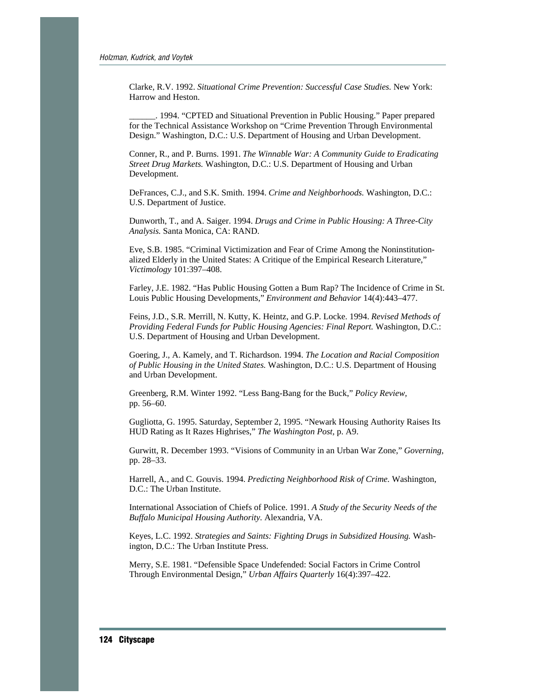Clarke, R.V. 1992. *Situational Crime Prevention: Successful Case Studies.* New York: Harrow and Heston.

1994. "CPTED and Situational Prevention in Public Housing." Paper prepared for the Technical Assistance Workshop on "Crime Prevention Through Environmental Design." Washington, D.C.: U.S. Department of Housing and Urban Development.

Conner, R., and P. Burns. 1991. *The Winnable War: A Community Guide to Eradicating Street Drug Markets.* Washington, D.C.: U.S. Department of Housing and Urban Development.

DeFrances, C.J., and S.K. Smith. 1994. *Crime and Neighborhoods.* Washington, D.C.: U.S. Department of Justice.

Dunworth, T., and A. Saiger. 1994. *Drugs and Crime in Public Housing: A Three-City Analysis.* Santa Monica, CA: RAND.

Eve, S.B. 1985. "Criminal Victimization and Fear of Crime Among the Noninstitutionalized Elderly in the United States: A Critique of the Empirical Research Literature," *Victimology* 101:397–408.

Farley, J.E. 1982. "Has Public Housing Gotten a Bum Rap? The Incidence of Crime in St. Louis Public Housing Developments," *Environment and Behavior* 14(4):443–477.

Feins, J.D., S.R. Merrill, N. Kutty, K. Heintz, and G.P. Locke. 1994. *Revised Methods of Providing Federal Funds for Public Housing Agencies: Final Report.* Washington, D.C.: U.S. Department of Housing and Urban Development.

Goering, J., A. Kamely, and T. Richardson. 1994. *The Location and Racial Composition of Public Housing in the United States.* Washington, D.C.: U.S. Department of Housing and Urban Development.

Greenberg, R.M. Winter 1992. "Less Bang-Bang for the Buck," *Policy Review,* pp. 56–60.

Gugliotta, G. 1995. Saturday, September 2, 1995. "Newark Housing Authority Raises Its HUD Rating as It Razes Highrises," *The Washington Post,* p. A9.

Gurwitt, R. December 1993. "Visions of Community in an Urban War Zone," *Governing,* pp. 28–33.

Harrell, A., and C. Gouvis. 1994. *Predicting Neighborhood Risk of Crime.* Washington, D.C.: The Urban Institute.

International Association of Chiefs of Police. 1991. *A Study of the Security Needs of the Buffalo Municipal Housing Authority.* Alexandria, VA.

Keyes, L.C. 1992. *Strategies and Saints: Fighting Drugs in Subsidized Housing.* Washington, D.C.: The Urban Institute Press.

Merry, S.E. 1981. "Defensible Space Undefended: Social Factors in Crime Control Through Environmental Design," *Urban Affairs Quarterly* 16(4):397–422.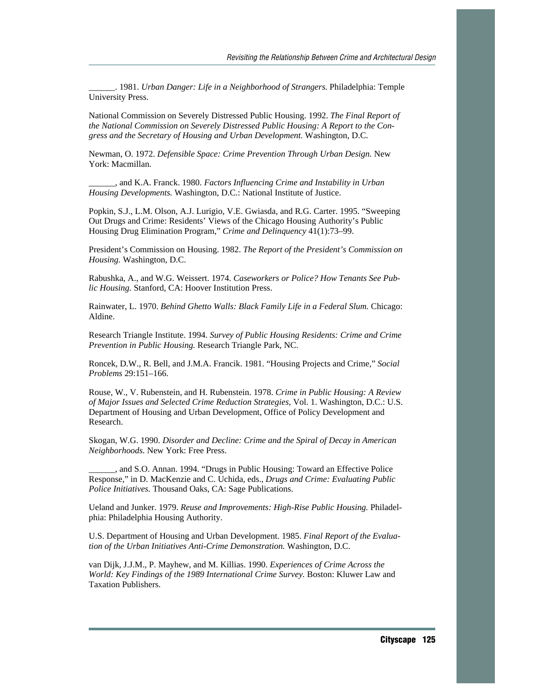\_\_\_\_\_\_. 1981. *Urban Danger: Life in a Neighborhood of Strangers.* Philadelphia: Temple University Press.

National Commission on Severely Distressed Public Housing. 1992. *The Final Report of the National Commission on Severely Distressed Public Housing: A Report to the Congress and the Secretary of Housing and Urban Development.* Washington, D.C.

Newman, O. 1972. *Defensible Space: Crime Prevention Through Urban Design.* New York: Macmillan.

\_\_\_\_\_\_, and K.A. Franck. 1980. *Factors Influencing Crime and Instability in Urban Housing Developments.* Washington, D.C.: National Institute of Justice.

Popkin, S.J., L.M. Olson, A.J. Lurigio, V.E. Gwiasda, and R.G. Carter. 1995. "Sweeping Out Drugs and Crime: Residents' Views of the Chicago Housing Authority's Public Housing Drug Elimination Program," *Crime and Delinquency* 41(1):73–99.

President's Commission on Housing. 1982. *The Report of the President's Commission on Housing.* Washington, D.C.

Rabushka, A., and W.G. Weissert. 1974. *Caseworkers or Police? How Tenants See Public Housing.* Stanford, CA: Hoover Institution Press.

Rainwater, L. 1970. *Behind Ghetto Walls: Black Family Life in a Federal Slum.* Chicago: Aldine.

Research Triangle Institute. 1994. *Survey of Public Housing Residents: Crime and Crime Prevention in Public Housing.* Research Triangle Park, NC.

Roncek, D.W., R. Bell, and J.M.A. Francik. 1981. "Housing Projects and Crime," *Social Problems* 29:151–166.

Rouse, W., V. Rubenstein, and H. Rubenstein. 1978. *Crime in Public Housing: A Review of Major Issues and Selected Crime Reduction Strategies,* Vol. 1. Washington, D.C.: U.S. Department of Housing and Urban Development, Office of Policy Development and Research.

Skogan, W.G. 1990. *Disorder and Decline: Crime and the Spiral of Decay in American Neighborhoods.* New York: Free Press.

\_\_\_\_\_\_, and S.O. Annan. 1994. "Drugs in Public Housing: Toward an Effective Police Response," in D. MacKenzie and C. Uchida, eds., *Drugs and Crime: Evaluating Public Police Initiatives.* Thousand Oaks, CA: Sage Publications.

Ueland and Junker. 1979. *Reuse and Improvements: High-Rise Public Housing.* Philadelphia: Philadelphia Housing Authority.

U.S. Department of Housing and Urban Development. 1985. *Final Report of the Evaluation of the Urban Initiatives Anti-Crime Demonstration.* Washington, D.C.

van Dijk, J.J.M., P. Mayhew, and M. Killias. 1990. *Experiences of Crime Across the World: Key Findings of the 1989 International Crime Survey.* Boston: Kluwer Law and Taxation Publishers.